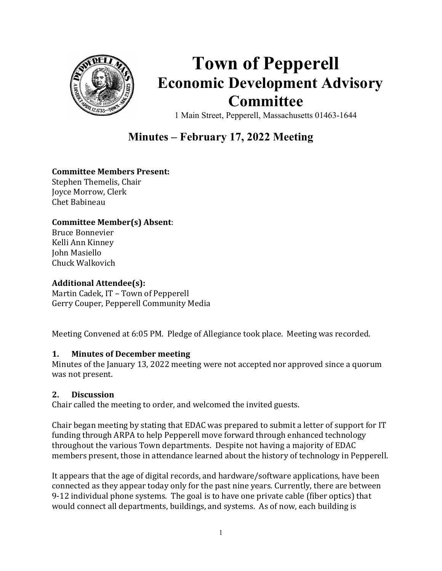

# Town of Pepperell Economic Development Advisory Committee

1 Main Street, Pepperell, Massachusetts 01463-1644

# Minutes – February 17, 2022 Meeting

# Committee Members Present:

Stephen Themelis, Chair Joyce Morrow, Clerk Chet Babineau

# Committee Member(s) Absent:

Bruce Bonnevier Kelli Ann Kinney John Masiello Chuck Walkovich

#### Additional Attendee(s):

Martin Cadek, IT – Town of Pepperell Gerry Couper, Pepperell Community Media

Meeting Convened at 6:05 PM. Pledge of Allegiance took place. Meeting was recorded.

#### 1. Minutes of December meeting

Minutes of the January 13, 2022 meeting were not accepted nor approved since a quorum was not present.

#### 2. Discussion

Chair called the meeting to order, and welcomed the invited guests.

Chair began meeting by stating that EDAC was prepared to submit a letter of support for IT funding through ARPA to help Pepperell move forward through enhanced technology throughout the various Town departments. Despite not having a majority of EDAC members present, those in attendance learned about the history of technology in Pepperell.

It appears that the age of digital records, and hardware/software applications, have been connected as they appear today only for the past nine years. Currently, there are between 9-12 individual phone systems. The goal is to have one private cable (fiber optics) that would connect all departments, buildings, and systems. As of now, each building is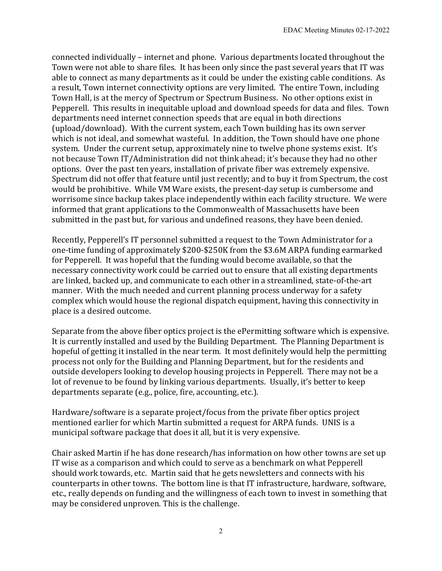connected individually – internet and phone. Various departments located throughout the Town were not able to share files. It has been only since the past several years that IT was able to connect as many departments as it could be under the existing cable conditions. As a result, Town internet connectivity options are very limited. The entire Town, including Town Hall, is at the mercy of Spectrum or Spectrum Business. No other options exist in Pepperell. This results in inequitable upload and download speeds for data and files. Town departments need internet connection speeds that are equal in both directions (upload/download). With the current system, each Town building has its own server which is not ideal, and somewhat wasteful. In addition, the Town should have one phone system. Under the current setup, approximately nine to twelve phone systems exist. It's not because Town IT/Administration did not think ahead; it's because they had no other options. Over the past ten years, installation of private fiber was extremely expensive. Spectrum did not offer that feature until just recently; and to buy it from Spectrum, the cost would be prohibitive. While VM Ware exists, the present-day setup is cumbersome and worrisome since backup takes place independently within each facility structure. We were informed that grant applications to the Commonwealth of Massachusetts have been submitted in the past but, for various and undefined reasons, they have been denied.

Recently, Pepperell's IT personnel submitted a request to the Town Administrator for a one-time funding of approximately \$200-\$250K from the \$3.6M ARPA funding earmarked for Pepperell. It was hopeful that the funding would become available, so that the necessary connectivity work could be carried out to ensure that all existing departments are linked, backed up, and communicate to each other in a streamlined, state-of-the-art manner. With the much needed and current planning process underway for a safety complex which would house the regional dispatch equipment, having this connectivity in place is a desired outcome.

Separate from the above fiber optics project is the ePermitting software which is expensive. It is currently installed and used by the Building Department. The Planning Department is hopeful of getting it installed in the near term. It most definitely would help the permitting process not only for the Building and Planning Department, but for the residents and outside developers looking to develop housing projects in Pepperell. There may not be a lot of revenue to be found by linking various departments. Usually, it's better to keep departments separate (e.g., police, fire, accounting, etc.).

Hardware/software is a separate project/focus from the private fiber optics project mentioned earlier for which Martin submitted a request for ARPA funds. UNIS is a municipal software package that does it all, but it is very expensive.

Chair asked Martin if he has done research/has information on how other towns are set up IT wise as a comparison and which could to serve as a benchmark on what Pepperell should work towards, etc. Martin said that he gets newsletters and connects with his counterparts in other towns. The bottom line is that IT infrastructure, hardware, software, etc., really depends on funding and the willingness of each town to invest in something that may be considered unproven. This is the challenge.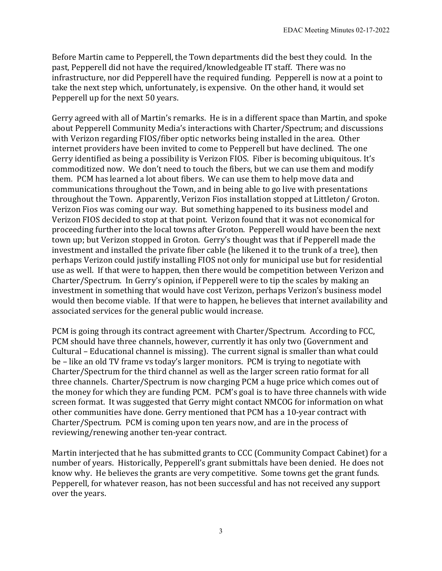Before Martin came to Pepperell, the Town departments did the best they could. In the past, Pepperell did not have the required/knowledgeable IT staff. There was no infrastructure, nor did Pepperell have the required funding. Pepperell is now at a point to take the next step which, unfortunately, is expensive. On the other hand, it would set Pepperell up for the next 50 years.

Gerry agreed with all of Martin's remarks. He is in a different space than Martin, and spoke about Pepperell Community Media's interactions with Charter/Spectrum; and discussions with Verizon regarding FIOS/fiber optic networks being installed in the area. Other internet providers have been invited to come to Pepperell but have declined. The one Gerry identified as being a possibility is Verizon FIOS. Fiber is becoming ubiquitous. It's commoditized now. We don't need to touch the fibers, but we can use them and modify them. PCM has learned a lot about fibers. We can use them to help move data and communications throughout the Town, and in being able to go live with presentations throughout the Town. Apparently, Verizon Fios installation stopped at Littleton/ Groton. Verizon Fios was coming our way. But something happened to its business model and Verizon FIOS decided to stop at that point. Verizon found that it was not economical for proceeding further into the local towns after Groton. Pepperell would have been the next town up; but Verizon stopped in Groton. Gerry's thought was that if Pepperell made the investment and installed the private fiber cable (he likened it to the trunk of a tree), then perhaps Verizon could justify installing FIOS not only for municipal use but for residential use as well. If that were to happen, then there would be competition between Verizon and Charter/Spectrum. In Gerry's opinion, if Pepperell were to tip the scales by making an investment in something that would have cost Verizon, perhaps Verizon's business model would then become viable. If that were to happen, he believes that internet availability and associated services for the general public would increase.

PCM is going through its contract agreement with Charter/Spectrum. According to FCC, PCM should have three channels, however, currently it has only two (Government and Cultural – Educational channel is missing). The current signal is smaller than what could be – like an old TV frame vs today's larger monitors. PCM is trying to negotiate with Charter/Spectrum for the third channel as well as the larger screen ratio format for all three channels. Charter/Spectrum is now charging PCM a huge price which comes out of the money for which they are funding PCM. PCM's goal is to have three channels with wide screen format. It was suggested that Gerry might contact NMCOG for information on what other communities have done. Gerry mentioned that PCM has a 10-year contract with Charter/Spectrum. PCM is coming upon ten years now, and are in the process of reviewing/renewing another ten-year contract.

Martin interjected that he has submitted grants to CCC (Community Compact Cabinet) for a number of years. Historically, Pepperell's grant submittals have been denied. He does not know why. He believes the grants are very competitive. Some towns get the grant funds. Pepperell, for whatever reason, has not been successful and has not received any support over the years.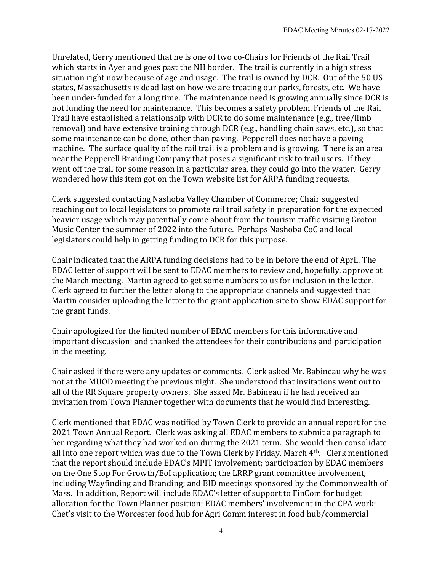Unrelated, Gerry mentioned that he is one of two co-Chairs for Friends of the Rail Trail which starts in Ayer and goes past the NH border. The trail is currently in a high stress situation right now because of age and usage. The trail is owned by DCR. Out of the 50 US states, Massachusetts is dead last on how we are treating our parks, forests, etc. We have been under-funded for a long time. The maintenance need is growing annually since DCR is not funding the need for maintenance. This becomes a safety problem. Friends of the Rail Trail have established a relationship with DCR to do some maintenance (e.g., tree/limb removal) and have extensive training through DCR (e.g., handling chain saws, etc.), so that some maintenance can be done, other than paving. Pepperell does not have a paving machine. The surface quality of the rail trail is a problem and is growing. There is an area near the Pepperell Braiding Company that poses a significant risk to trail users. If they went off the trail for some reason in a particular area, they could go into the water. Gerry wondered how this item got on the Town website list for ARPA funding requests.

Clerk suggested contacting Nashoba Valley Chamber of Commerce; Chair suggested reaching out to local legislators to promote rail trail safety in preparation for the expected heavier usage which may potentially come about from the tourism traffic visiting Groton Music Center the summer of 2022 into the future. Perhaps Nashoba CoC and local legislators could help in getting funding to DCR for this purpose.

Chair indicated that the ARPA funding decisions had to be in before the end of April. The EDAC letter of support will be sent to EDAC members to review and, hopefully, approve at the March meeting. Martin agreed to get some numbers to us for inclusion in the letter. Clerk agreed to further the letter along to the appropriate channels and suggested that Martin consider uploading the letter to the grant application site to show EDAC support for the grant funds.

Chair apologized for the limited number of EDAC members for this informative and important discussion; and thanked the attendees for their contributions and participation in the meeting.

Chair asked if there were any updates or comments. Clerk asked Mr. Babineau why he was not at the MUOD meeting the previous night. She understood that invitations went out to all of the RR Square property owners. She asked Mr. Babineau if he had received an invitation from Town Planner together with documents that he would find interesting.

Clerk mentioned that EDAC was notified by Town Clerk to provide an annual report for the 2021 Town Annual Report. Clerk was asking all EDAC members to submit a paragraph to her regarding what they had worked on during the 2021 term. She would then consolidate all into one report which was due to the Town Clerk by Friday, March 4th. Clerk mentioned that the report should include EDAC's MPIT involvement; participation by EDAC members on the One Stop For Growth/EoI application; the LRRP grant committee involvement, including Wayfinding and Branding; and BID meetings sponsored by the Commonwealth of Mass. In addition, Report will include EDAC's letter of support to FinCom for budget allocation for the Town Planner position; EDAC members' involvement in the CPA work; Chet's visit to the Worcester food hub for Agri Comm interest in food hub/commercial